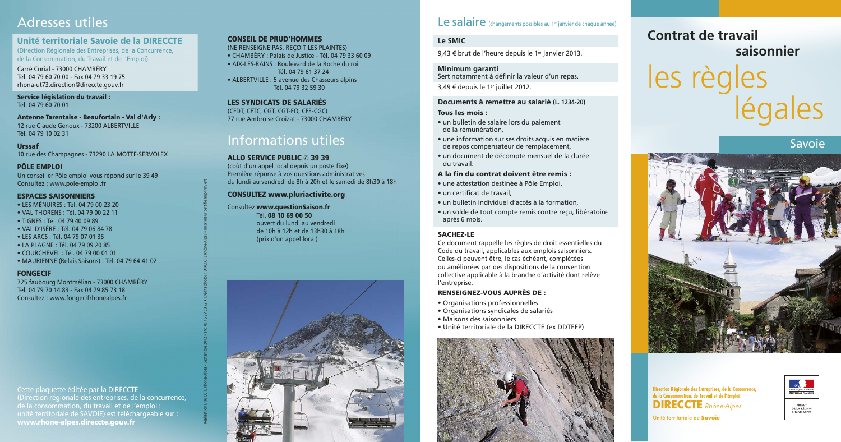# Adresses utiles

# Unité territoriale Savoie de la DIRECCTE

(Direction Régionale des Entreprises, de la Concurrence, de la Consommation, du Travail et de l'Emploi)

Carré Curial - 73000 CHAMRÉRY Tél. 04 79 60 70 00 - Fax 04 79 33 19 75 rhona-ut73.direction@direccte.gouv.fr

Service législation du travail : Tél. 04 79 60 70 01

**Antenne Tarentaise - Beaufortain - Val d'Arly :** 12 rue Claude Genoux - 73200 ALBERTVILLE Tél. 04 79 10 02 31

**Urssaf** 10 rue des Champagnes - 73290 LA MOTTE-SERVOLEX

**PÔLE EMPLOI** Un conseiller Pôle emploi vous répond sur le 39 49 Consultez : www.pole-emploi.fr

#### **ESPACES SAISONNIERS**

- LES MÉNUIRES : Tél. 04 79 00 23 20
- VAL THORENS : Tél. 04 79 00 22 11
- · TIGNES: Tél. 04 79 40 09 89
- VAL D'ISÈRE : Tél. 04 79 06 84 78
- LES ARCS : Tél. 04 79 07 01 35
- LA PLAGNE : Tél. 04 79 09 20 85
- COURCHEVEL : Tél. 04 79 00 01 01
- · MAURIENNE (Relais Saisons) : Tél. 04 79 64 41 02

### **FONGECIE**

725 faubourg Montmélian - 73000 CHAMBÉRY Tél. 04 79 70 14 83 - Fax 04 79 85 73 18 Consultez: www.fongecifrhonealpes.fr

Cette plaquette éditée par la DIRECCTE (Direction régionale des entreprises, de la concurrence, de la consommation, du travail et de l'emploi : unité territoriale de SAVOIE) est téléchargeable sur : www.rhone-alpes.direccte.gouv.fr

# **CONSEIL DE PRUD'HOMMES**

(NE RENSEIGNE PAS, RECOIT LES PLAINTES) • CHAMBÉRY : Palais de Justice - Tél. 04 79 33 60 09 • AIX-LES-BAINS : Boulevard de la Roche du roi Tél. 04 79 61 37 24

• ALBERTVILLE: 5 avenue des Chasseurs alpins Tél. 04 79 32 59 30

#### LES SYNDICATS DE SALARIÉS

(CFDT, CFTC, CGT, CGT-FO, CFE-CGC) 77 rue Ambroise Croizat - 73000 CHAMBÉRY

# Informations utiles

#### **ALLO SERVICE PUBLIC © 39 39**

(coût d'un appel local depuis un poste fixe) Première réponse à vos questions administratives du lundi au vendredi de 8h à 20h et le samedi de 8h30 à 18h

#### **CONSULTEZ www.pluriactivite.org**

Consultez www.questionSaison.fr Tél. 08 10 69 00 50 ouvert du lundi au vendredi de 10h à 12h et de 13h30 à 18h (prix d'un appel local)



# Le salaire (changements possibles au 1<sup>er</sup> janvier de chaque année)

# Le SMIC

9,43 € brut de l'heure depuis le 1<sup>er</sup> janvier 2013.

Minimum garanti Sert notamment à définir la valeur d'un repas.

3,49 € depuis le 1<sup>er</sup> juillet 2012.

# Documents à remettre au salarié (L. 1234-20)

## Tous les mois :

- un bulletin de salaire lors du paiement de la rémunération.
- une information sur ses droits acquis en matière de repos compensateur de remplacement,
- un document de décompte mensuel de la durée du travail.

#### A la fin du contrat doivent être remis :

- · une attestation destinée à Pôle Emploi.
- · un certificat de travail.
- · un bulletin individuel d'accès à la formation,
- · un solde de tout compte remis contre reçu, libératoire après 6 mois.

### **SACHEZ-LE**

Ce document rappelle les règles de droit essentielles du Code du travail, applicables aux emplois saisonniers. Celles-ci peuvent être, le cas échéant, complétées ou améliorées par des dispositions de la convention collective applicable à la branche d'activité dont relève l'entreprise.

### **RENSEIGNEZ-VOUS AUPRÈS DE :**

- Organisations professionnelles
- Organisations syndicales de salariés
- Maisons des saisonniers
- · Unité territoriale de la DIRECCTE (ex DDTEFP)





# Contrat de travail saisonnier les règles<br>légales

# Savoie



Direction Régionale des Entreprises, de la Concurrence,<br>de la Consommation, du Travail et de l'Emploi **DIRECCTE** Rhône-Alpes

Unité territoriale de Savoie